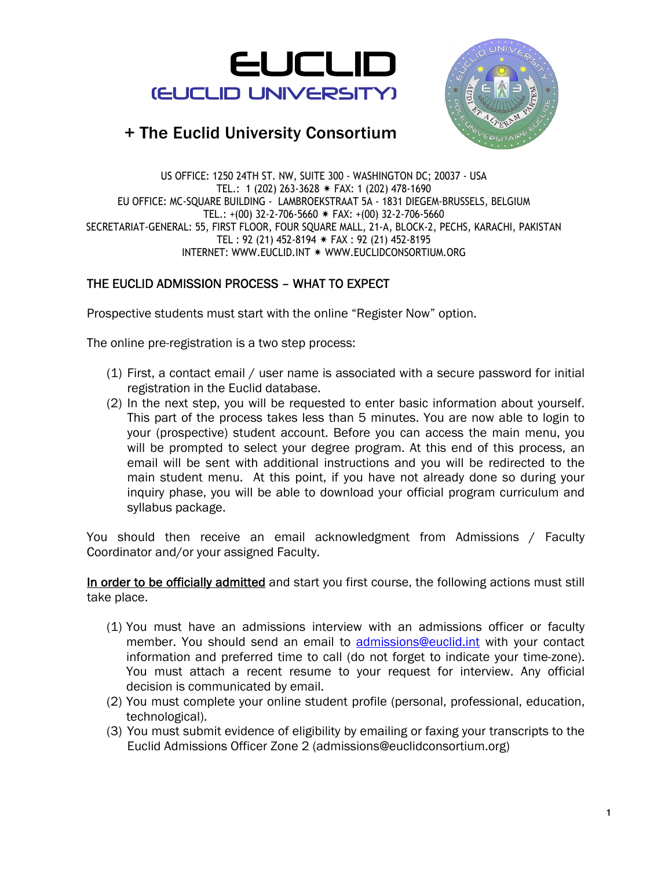



US OFFICE: 1250 24TH ST. NW, SUITE 300 - WASHINGTON DC; 20037 - USA TEL.: 1 (202) 263-3628  $*$  FAX: 1 (202) 478-1690 EU OFFICE: MC-SQUARE BUILDING - LAMBROEKSTRAAT 5A - 1831 DIEGEM-BRUSSELS, BELGIUM TEL.:  $+(00)$  32-2-706-5660  $*$  FAX:  $+(00)$  32-2-706-5660 SECRETARIAT-GENERAL: 55, FIRST FLOOR, FOUR SQUARE MALL, 21-A, BLOCK-2, PECHS, KARACHI, PAKISTAN TEL: 92 (21) 452-8194  $*$  FAX: 92 (21) 452-8195 INTERNET: WWW.EUCLID.INT \* WWW.EUCLIDCONSORTIUM.ORG

#### THE EUCLID ADMISSION PROCESS – WHAT TO EXPECT

Prospective students must start with the online "Register Now" option.

The online pre-registration is a two step process:

- (1) First, a contact email / user name is associated with a secure password for initial registration in the Euclid database.
- (2) In the next step, you will be requested to enter basic information about yourself. This part of the process takes less than 5 minutes. You are now able to login to your (prospective) student account. Before you can access the main menu, you will be prompted to select your degree program. At this end of this process, an email will be sent with additional instructions and you will be redirected to the main student menu. At this point, if you have not already done so during your inquiry phase, you will be able to download your official program curriculum and syllabus package.

You should then receive an email acknowledgment from Admissions / Faculty Coordinator and/or your assigned Faculty.

In order to be officially admitted and start you first course, the following actions must still take place.

- (1) You must have an admissions interview with an admissions officer or faculty member. You should send an email to admissions@euclid.int with your contact information and preferred time to call (do not forget to indicate your time-zone). You must attach a recent resume to your request for interview. Any official decision is communicated by email.
- (2) You must complete your online student profile (personal, professional, education, technological).
- (3) You must submit evidence of eligibility by emailing or faxing your transcripts to the Euclid Admissions Officer Zone 2 (admissions@euclidconsortium.org)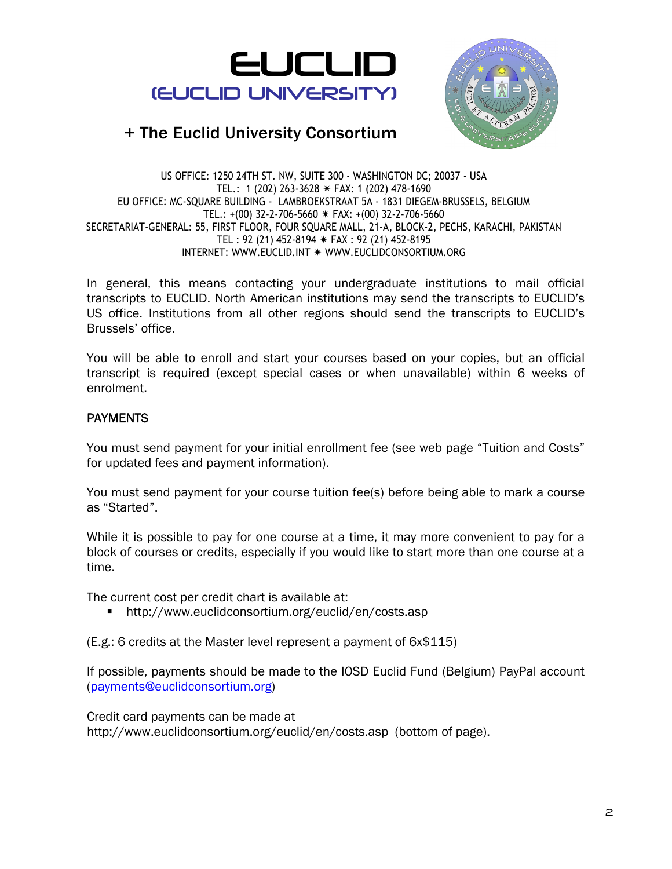



US OFFICE: 1250 24TH ST. NW, SUITE 300 - WASHINGTON DC; 20037 - USA TEL.: 1 (202) 263-3628  $*$  FAX: 1 (202) 478-1690 EU OFFICE: MC-SQUARE BUILDING - LAMBROEKSTRAAT 5A - 1831 DIEGEM-BRUSSELS, BELGIUM TEL.:  $+(00)$  32-2-706-5660  $*$  FAX:  $+(00)$  32-2-706-5660 SECRETARIAT-GENERAL: 55, FIRST FLOOR, FOUR SQUARE MALL, 21-A, BLOCK-2, PECHS, KARACHI, PAKISTAN TEL : 92 (21) 452-8194  $*$  FAX : 92 (21) 452-8195 INTERNET: WWW.EUCLID.INT \* WWW.EUCLIDCONSORTIUM.ORG

In general, this means contacting your undergraduate institutions to mail official transcripts to EUCLID. North American institutions may send the transcripts to EUCLID's US office. Institutions from all other regions should send the transcripts to EUCLID's Brussels' office.

You will be able to enroll and start your courses based on your copies, but an official transcript is required (except special cases or when unavailable) within 6 weeks of enrolment.

#### **PAYMENTS**

You must send payment for your initial enrollment fee (see web page "Tuition and Costs" for updated fees and payment information).

You must send payment for your course tuition fee(s) before being able to mark a course as "Started".

While it is possible to pay for one course at a time, it may more convenient to pay for a block of courses or credits, especially if you would like to start more than one course at a time.

The current cost per credit chart is available at:

http://www.euclidconsortium.org/euclid/en/costs.asp

(E.g.: 6 credits at the Master level represent a payment of 6x\$115)

If possible, payments should be made to the IOSD Euclid Fund (Belgium) PayPal account (payments@euclidconsortium.org)

Credit card payments can be made at http://www.euclidconsortium.org/euclid/en/costs.asp (bottom of page).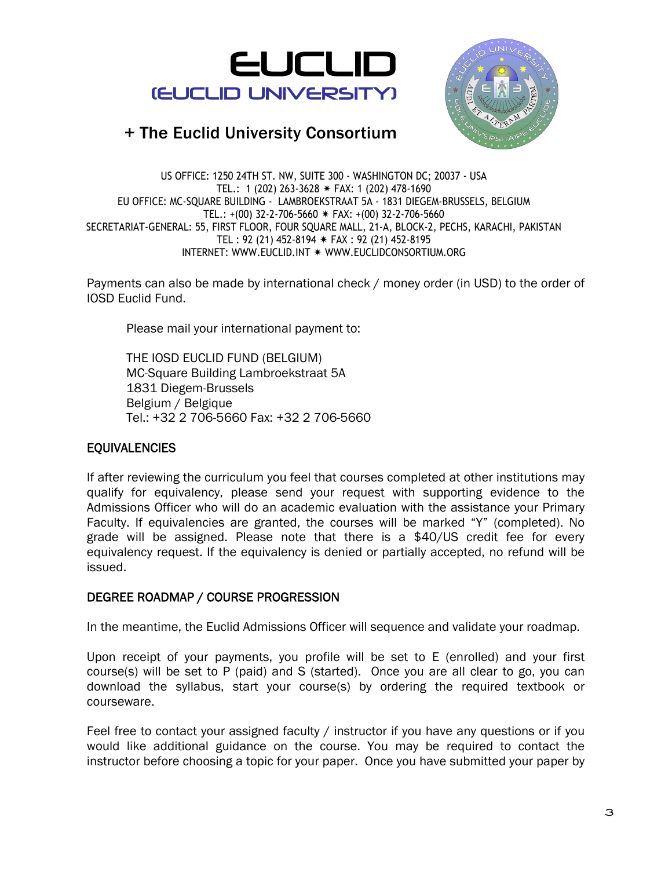



US OFFICE: 1250 24TH ST. NW, SUITE 300 - WASHINGTON DC; 20037 - USA TEL.: 1 (202) 263-3628  $*$  FAX: 1 (202) 478-1690 EU OFFICE: MC-SQUARE BUILDING - LAMBROEKSTRAAT 5A - 1831 DIEGEM-BRUSSELS, BELGIUM TEL.:  $+(00)$  32-2-706-5660  $*$  FAX:  $+(00)$  32-2-706-5660 SECRETARIAT-GENERAL: 55, FIRST FLOOR, FOUR SQUARE MALL, 21-A, BLOCK-2, PECHS, KARACHI, PAKISTAN TEL : 92 (21) 452-8194  $*$  FAX : 92 (21) 452-8195 INTERNET: WWW.EUCLID.INT \* WWW.EUCLIDCONSORTIUM.ORG

Payments can also be made by international check / money order (in USD) to the order of IOSD Euclid Fund.

Please mail your international payment to:

THE IOSD EUCLID FUND (BELGIUM) MC-Square Building Lambroekstraat 5A 1831 Diegem-Brussels Belgium / Belgique Tel.: +32 2 706-5660 Fax: +32 2 706-5660

#### EQUIVALENCIES

If after reviewing the curriculum you feel that courses completed at other institutions may qualify for equivalency, please send your request with supporting evidence to the Admissions Officer who will do an academic evaluation with the assistance your Primary Faculty. If equivalencies are granted, the courses will be marked "Y" (completed). No grade will be assigned. Please note that there is a \$40/US credit fee for every equivalency request. If the equivalency is denied or partially accepted, no refund will be issued.

#### DEGREE ROADMAP / COURSE PROGRESSION

In the meantime, the Euclid Admissions Officer will sequence and validate your roadmap.

Upon receipt of your payments, you profile will be set to E (enrolled) and your first course(s) will be set to P (paid) and S (started). Once you are all clear to go, you can download the syllabus, start your course(s) by ordering the required textbook or courseware.

Feel free to contact your assigned faculty / instructor if you have any questions or if you would like additional guidance on the course. You may be required to contact the instructor before choosing a topic for your paper. Once you have submitted your paper by